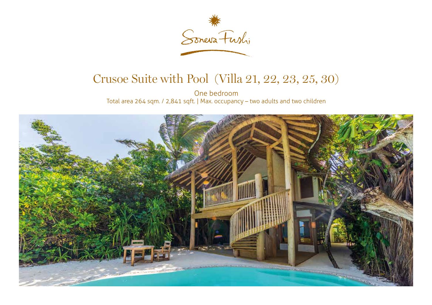

## Crusoe Suite with Pool (Villa 21, 22, 23, 25, 30)

One bedroom Total area 264 sqm. / 2,841 sqft. | Max. occupancy – two adults and two children

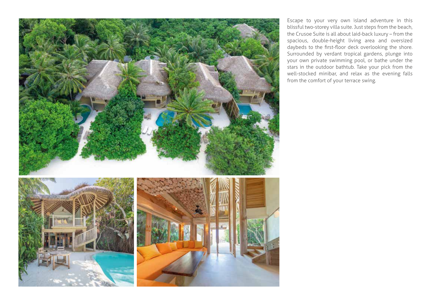

Escape to your very own island adventure in this blissful two-storey villa suite. Just steps from the beach, the Crusoe Suite is all about laid-back luxury – from the spacious, double-height living area and oversized daybeds to the first-floor deck overlooking the shore. Surrounded by verdant tropical gardens, plunge into your own private swimming pool, or bathe under the stars in the outdoor bathtub. Take your pick from the well-stocked minibar, and relax as the evening falls from the comfort of your terrace swing.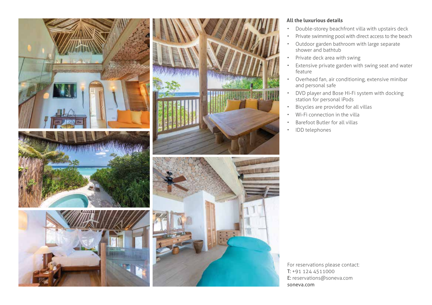

## **All the luxurious details**

- Double-storey beachfront villa with upstairs deck
- Private swimming pool with direct access to the beach
- Outdoor garden bathroom with large separate shower and bathtub
- Private deck area with swing
- Extensive private garden with swing seat and water feature
- Overhead fan, air conditioning, extensive minibar and personal safe
- DVD player and Bose Hi-Fi system with docking station for personal iPods
- Bicycles are provided for all villas
- Wi-Fi connection in the villa
- Barefoot Butler for all villas
- IDD telephones

For reservations please contact: T: +91 124 4511000 E: reservations@soneva.com soneva.com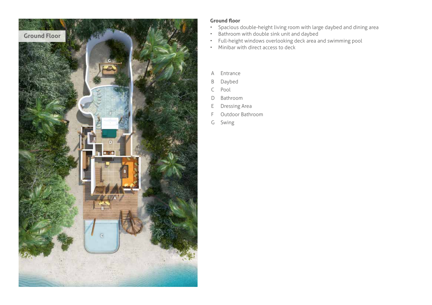

## **Ground floor**

- Spacious double-height living room with large daybed and dining area
- Bathroom with double sink unit and daybed
- Full-height windows overlooking deck area and swimming pool
- Minibar with direct access to deck
- A Entrance
- B Daybed
- C Pool
- D Bathroom
- E Dressing Area
- F Outdoor Bathroom
- G Swing